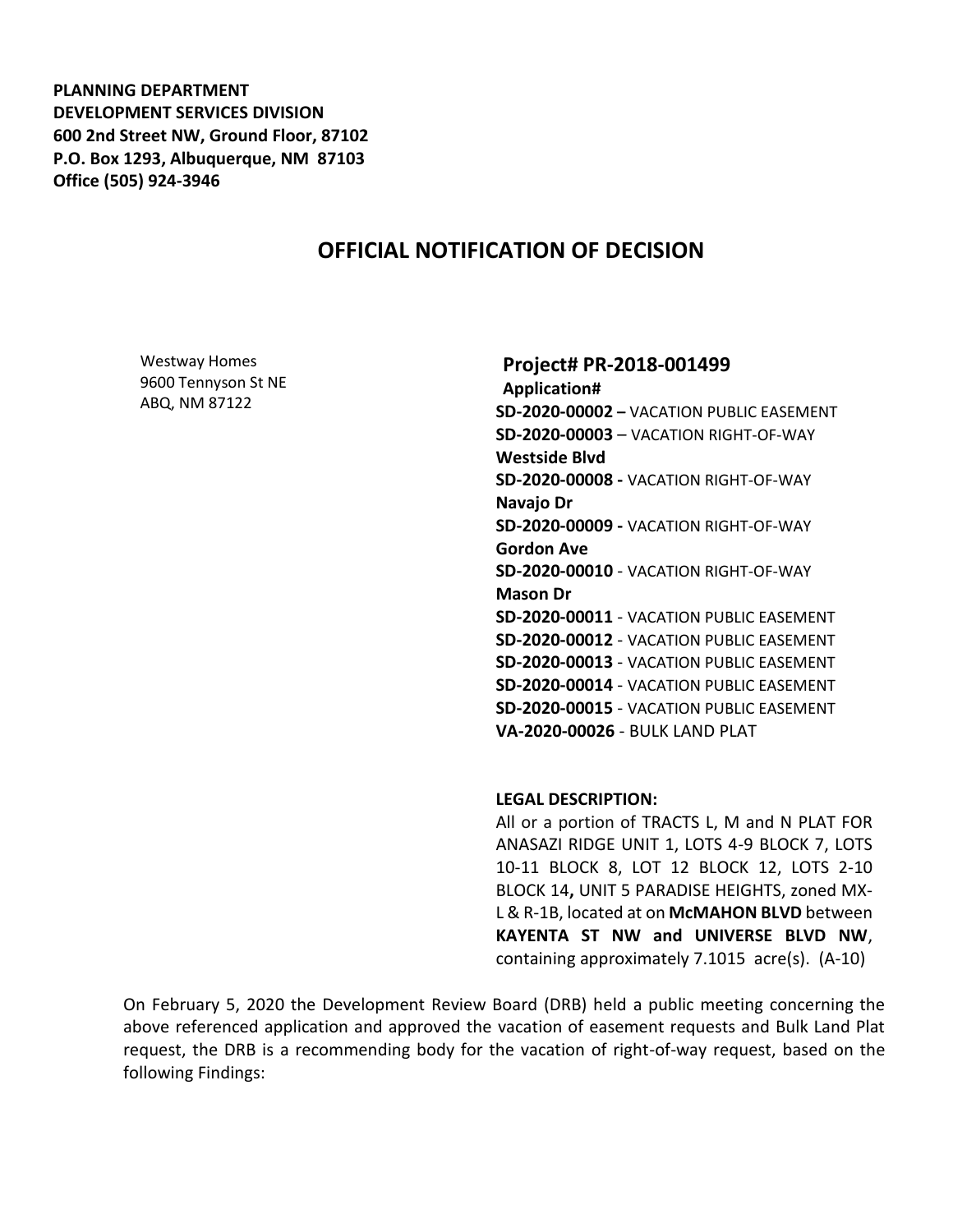**PLANNING DEPARTMENT DEVELOPMENT SERVICES DIVISION 600 2nd Street NW, Ground Floor, 87102 P.O. Box 1293, Albuquerque, NM 87103 Office (505) 924-3946** 

# **OFFICIAL NOTIFICATION OF DECISION**

Westway Homes 9600 Tennyson St NE ABQ, NM 87122

#### **Project# PR-2018-001499**

**Application# SD-2020-00002 –** VACATION PUBLIC EASEMENT **SD-2020-00003** – VACATION RIGHT-OF-WAY **Westside Blvd SD-2020-00008 -** VACATION RIGHT-OF-WAY **Navajo Dr SD-2020-00009 -** VACATION RIGHT-OF-WAY **Gordon Ave SD-2020-00010** - VACATION RIGHT-OF-WAY **Mason Dr SD-2020-00011** - VACATION PUBLIC EASEMENT **SD-2020-00012** - VACATION PUBLIC EASEMENT **SD-2020-00013** - VACATION PUBLIC EASEMENT **SD-2020-00014** - VACATION PUBLIC EASEMENT **SD-2020-00015** - VACATION PUBLIC EASEMENT **VA-2020-00026** - BULK LAND PLAT

#### **LEGAL DESCRIPTION:**

All or a portion of TRACTS L, M and N PLAT FOR ANASAZI RIDGE UNIT 1, LOTS 4-9 BLOCK 7, LOTS 10-11 BLOCK 8, LOT 12 BLOCK 12, LOTS 2-10 BLOCK 14**,** UNIT 5 PARADISE HEIGHTS, zoned MX-L & R-1B, located at on **McMAHON BLVD** between **KAYENTA ST NW and UNIVERSE BLVD NW**, containing approximately 7.1015 acre(s). (A-10)

On February 5, 2020 the Development Review Board (DRB) held a public meeting concerning the above referenced application and approved the vacation of easement requests and Bulk Land Plat request, the DRB is a recommending body for the vacation of right-of-way request, based on the following Findings: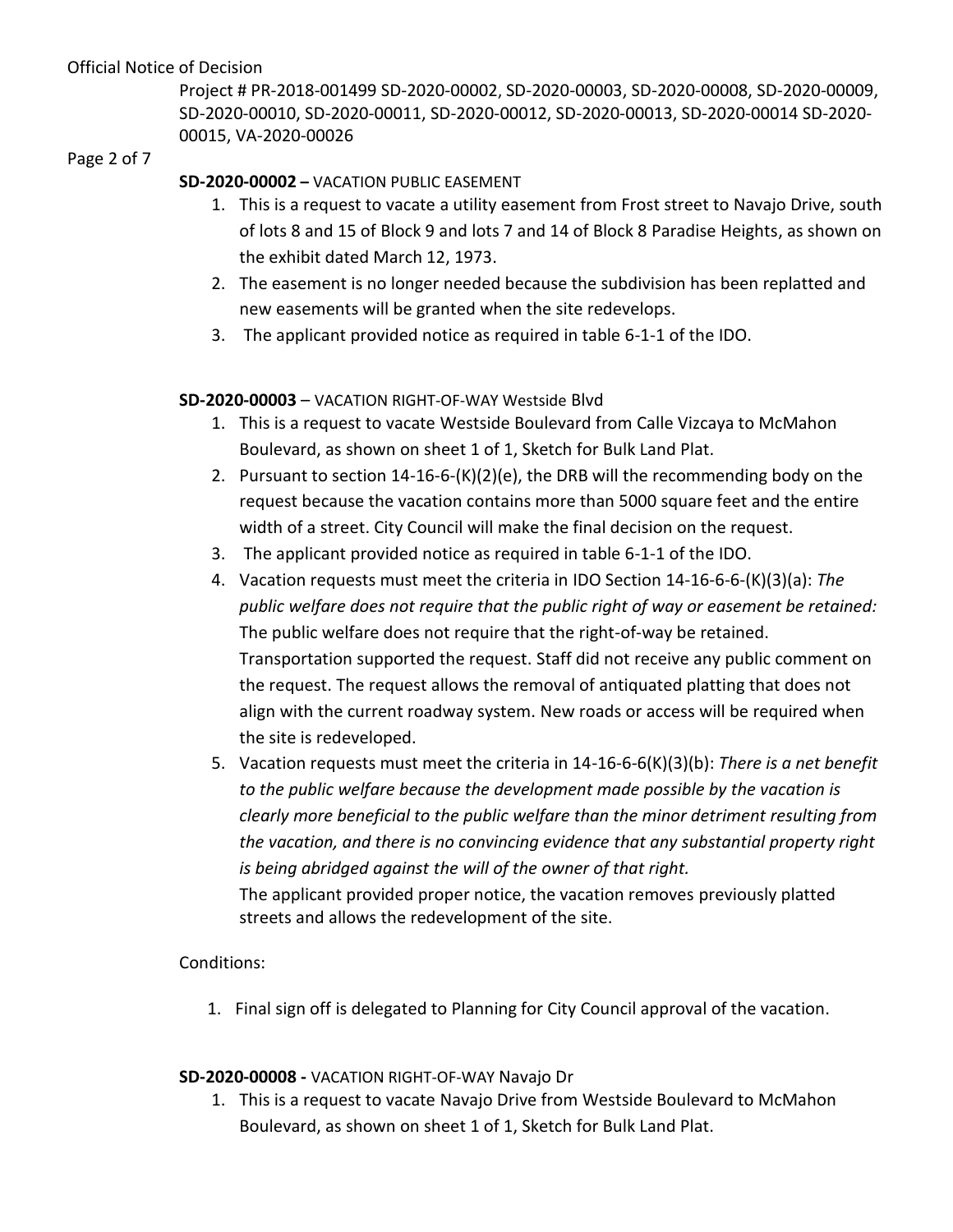Project # PR-2018-001499 SD-2020-00002, SD-2020-00003, SD-2020-00008, SD-2020-00009, SD-2020-00010, SD-2020-00011, SD-2020-00012, SD-2020-00013, SD-2020-00014 SD-2020- 00015, VA-2020-00026

#### Page 2 of 7

# **SD-2020-00002 –** VACATION PUBLIC EASEMENT

- 1. This is a request to vacate a utility easement from Frost street to Navajo Drive, south of lots 8 and 15 of Block 9 and lots 7 and 14 of Block 8 Paradise Heights, as shown on the exhibit dated March 12, 1973.
- 2. The easement is no longer needed because the subdivision has been replatted and new easements will be granted when the site redevelops.
- 3. The applicant provided notice as required in table 6-1-1 of the IDO.

## **SD-2020-00003** – VACATION RIGHT-OF-WAY Westside Blvd

- 1. This is a request to vacate Westside Boulevard from Calle Vizcaya to McMahon Boulevard, as shown on sheet 1 of 1, Sketch for Bulk Land Plat.
- 2. Pursuant to section 14-16-6-(K)(2)(e), the DRB will the recommending body on the request because the vacation contains more than 5000 square feet and the entire width of a street. City Council will make the final decision on the request.
- 3. The applicant provided notice as required in table 6-1-1 of the IDO.
- 4. Vacation requests must meet the criteria in IDO Section 14-16-6-6-(K)(3)(a): *The public welfare does not require that the public right of way or easement be retained:* The public welfare does not require that the right-of-way be retained. Transportation supported the request. Staff did not receive any public comment on the request. The request allows the removal of antiquated platting that does not align with the current roadway system. New roads or access will be required when the site is redeveloped.
- 5. Vacation requests must meet the criteria in 14-16-6-6(K)(3)(b): *There is a net benefit to the public welfare because the development made possible by the vacation is clearly more beneficial to the public welfare than the minor detriment resulting from the vacation, and there is no convincing evidence that any substantial property right is being abridged against the will of the owner of that right.* The applicant provided proper notice, the vacation removes previously platted streets and allows the redevelopment of the site.

# Conditions:

1. Final sign off is delegated to Planning for City Council approval of the vacation.

# **SD-2020-00008 -** VACATION RIGHT-OF-WAY Navajo Dr

1. This is a request to vacate Navajo Drive from Westside Boulevard to McMahon Boulevard, as shown on sheet 1 of 1, Sketch for Bulk Land Plat.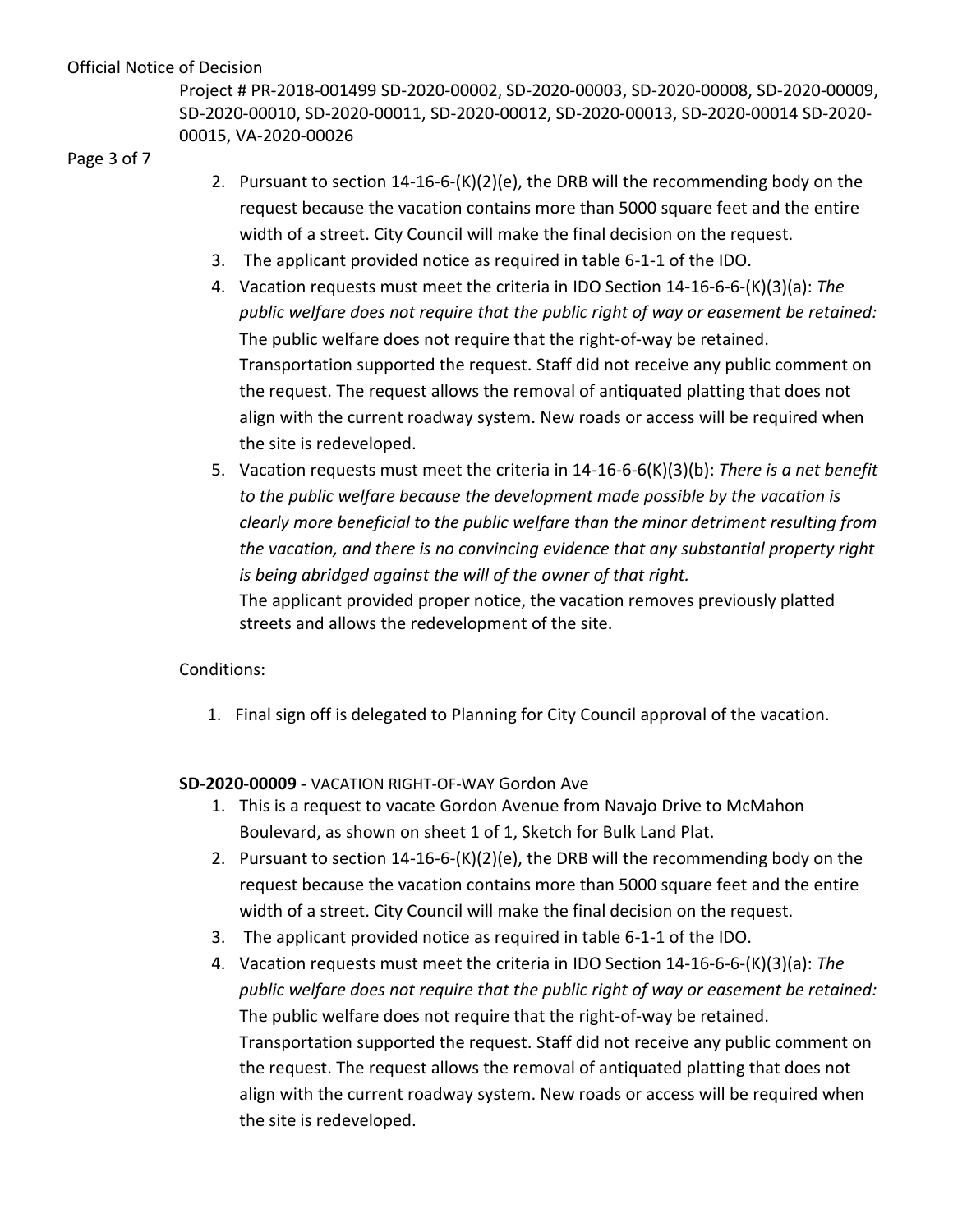Project # PR-2018-001499 SD-2020-00002, SD-2020-00003, SD-2020-00008, SD-2020-00009, SD-2020-00010, SD-2020-00011, SD-2020-00012, SD-2020-00013, SD-2020-00014 SD-2020- 00015, VA-2020-00026

Page 3 of 7

- 2. Pursuant to section  $14-16-6-(K)(2)(e)$ , the DRB will the recommending body on the request because the vacation contains more than 5000 square feet and the entire width of a street. City Council will make the final decision on the request.
- 3. The applicant provided notice as required in table 6-1-1 of the IDO.
- 4. Vacation requests must meet the criteria in IDO Section 14-16-6-6-(K)(3)(a): *The public welfare does not require that the public right of way or easement be retained:* The public welfare does not require that the right-of-way be retained. Transportation supported the request. Staff did not receive any public comment on the request. The request allows the removal of antiquated platting that does not align with the current roadway system. New roads or access will be required when the site is redeveloped.
- 5. Vacation requests must meet the criteria in 14-16-6-6(K)(3)(b): *There is a net benefit to the public welfare because the development made possible by the vacation is clearly more beneficial to the public welfare than the minor detriment resulting from the vacation, and there is no convincing evidence that any substantial property right is being abridged against the will of the owner of that right.* The applicant provided proper notice, the vacation removes previously platted streets and allows the redevelopment of the site.

Conditions:

1. Final sign off is delegated to Planning for City Council approval of the vacation.

# **SD-2020-00009 -** VACATION RIGHT-OF-WAY Gordon Ave

- 1. This is a request to vacate Gordon Avenue from Navajo Drive to McMahon Boulevard, as shown on sheet 1 of 1, Sketch for Bulk Land Plat.
- 2. Pursuant to section 14-16-6-(K)(2)(e), the DRB will the recommending body on the request because the vacation contains more than 5000 square feet and the entire width of a street. City Council will make the final decision on the request.
- 3. The applicant provided notice as required in table 6-1-1 of the IDO.
- 4. Vacation requests must meet the criteria in IDO Section 14-16-6-6-(K)(3)(a): *The public welfare does not require that the public right of way or easement be retained:* The public welfare does not require that the right-of-way be retained. Transportation supported the request. Staff did not receive any public comment on the request. The request allows the removal of antiquated platting that does not align with the current roadway system. New roads or access will be required when the site is redeveloped.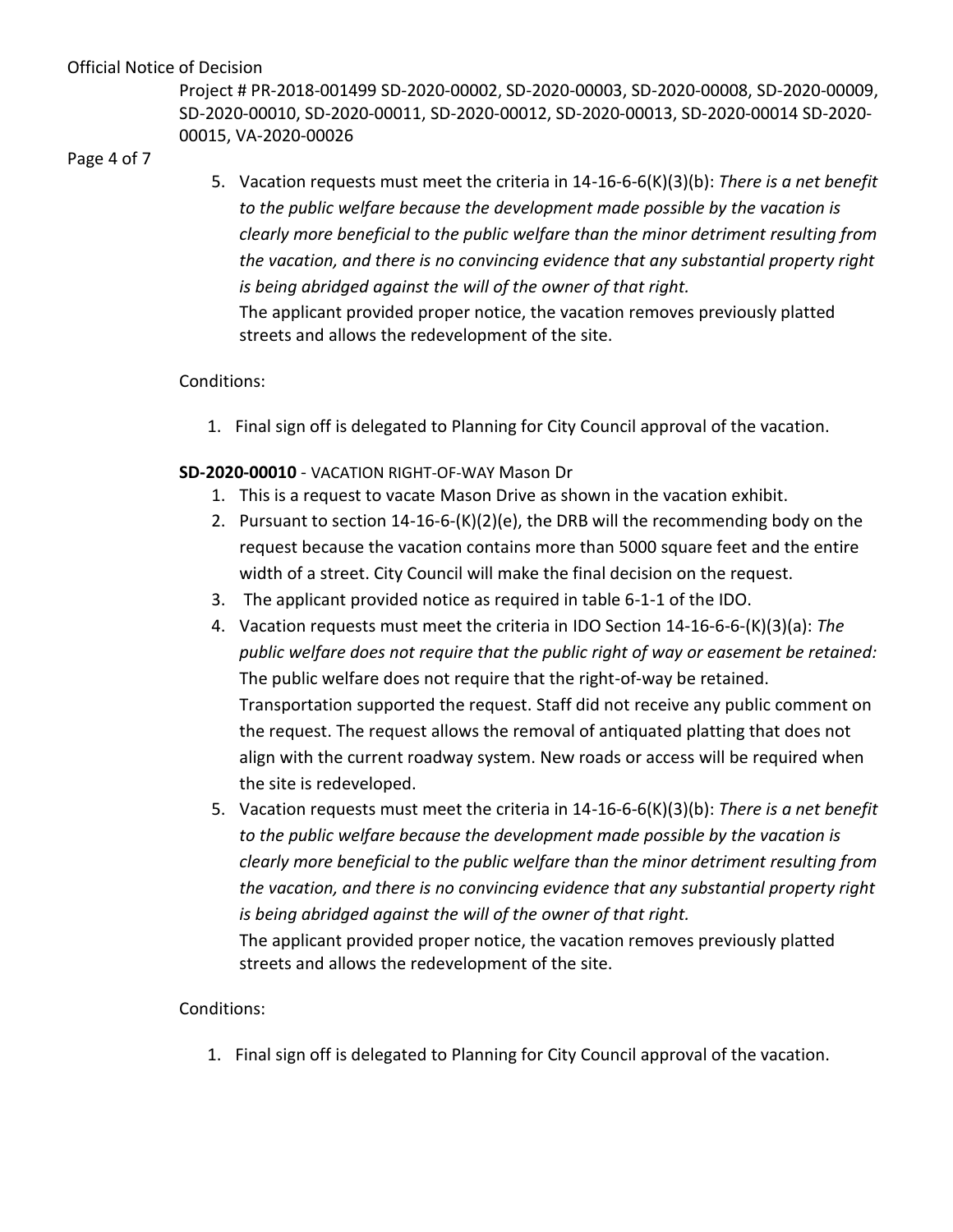Project # PR-2018-001499 SD-2020-00002, SD-2020-00003, SD-2020-00008, SD-2020-00009, SD-2020-00010, SD-2020-00011, SD-2020-00012, SD-2020-00013, SD-2020-00014 SD-2020- 00015, VA-2020-00026

Page 4 of 7

5. Vacation requests must meet the criteria in 14-16-6-6(K)(3)(b): *There is a net benefit to the public welfare because the development made possible by the vacation is clearly more beneficial to the public welfare than the minor detriment resulting from the vacation, and there is no convincing evidence that any substantial property right is being abridged against the will of the owner of that right.* The applicant provided proper notice, the vacation removes previously platted streets and allows the redevelopment of the site.

# Conditions:

1. Final sign off is delegated to Planning for City Council approval of the vacation.

# **SD-2020-00010** - VACATION RIGHT-OF-WAY Mason Dr

- 1. This is a request to vacate Mason Drive as shown in the vacation exhibit.
- 2. Pursuant to section 14-16-6-(K)(2)(e), the DRB will the recommending body on the request because the vacation contains more than 5000 square feet and the entire width of a street. City Council will make the final decision on the request.
- 3. The applicant provided notice as required in table 6-1-1 of the IDO.
- 4. Vacation requests must meet the criteria in IDO Section 14-16-6-6-(K)(3)(a): *The public welfare does not require that the public right of way or easement be retained:* The public welfare does not require that the right-of-way be retained. Transportation supported the request. Staff did not receive any public comment on the request. The request allows the removal of antiquated platting that does not align with the current roadway system. New roads or access will be required when the site is redeveloped.
- 5. Vacation requests must meet the criteria in 14-16-6-6(K)(3)(b): *There is a net benefit to the public welfare because the development made possible by the vacation is clearly more beneficial to the public welfare than the minor detriment resulting from the vacation, and there is no convincing evidence that any substantial property right is being abridged against the will of the owner of that right.*

The applicant provided proper notice, the vacation removes previously platted streets and allows the redevelopment of the site.

# Conditions:

1. Final sign off is delegated to Planning for City Council approval of the vacation.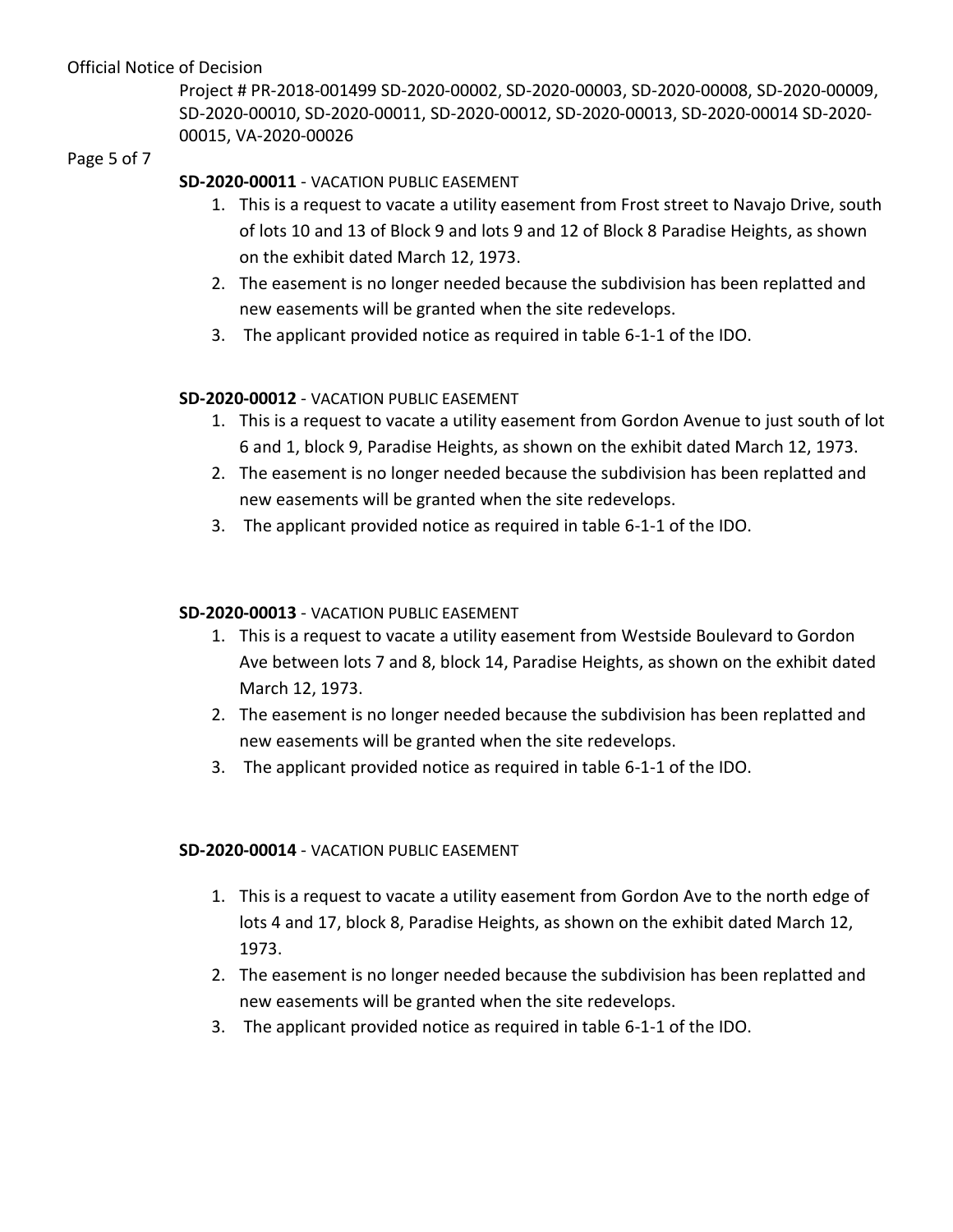Project # PR-2018-001499 SD-2020-00002, SD-2020-00003, SD-2020-00008, SD-2020-00009, SD-2020-00010, SD-2020-00011, SD-2020-00012, SD-2020-00013, SD-2020-00014 SD-2020- 00015, VA-2020-00026

#### Page 5 of 7

# **SD-2020-00011** - VACATION PUBLIC EASEMENT

- 1. This is a request to vacate a utility easement from Frost street to Navajo Drive, south of lots 10 and 13 of Block 9 and lots 9 and 12 of Block 8 Paradise Heights, as shown on the exhibit dated March 12, 1973.
- 2. The easement is no longer needed because the subdivision has been replatted and new easements will be granted when the site redevelops.
- 3. The applicant provided notice as required in table 6-1-1 of the IDO.

## **SD-2020-00012** - VACATION PUBLIC EASEMENT

- 1. This is a request to vacate a utility easement from Gordon Avenue to just south of lot 6 and 1, block 9, Paradise Heights, as shown on the exhibit dated March 12, 1973.
- 2. The easement is no longer needed because the subdivision has been replatted and new easements will be granted when the site redevelops.
- 3. The applicant provided notice as required in table 6-1-1 of the IDO.

## **SD-2020-00013** - VACATION PUBLIC EASEMENT

- 1. This is a request to vacate a utility easement from Westside Boulevard to Gordon Ave between lots 7 and 8, block 14, Paradise Heights, as shown on the exhibit dated March 12, 1973.
- 2. The easement is no longer needed because the subdivision has been replatted and new easements will be granted when the site redevelops.
- 3. The applicant provided notice as required in table 6-1-1 of the IDO.

# **SD-2020-00014** - VACATION PUBLIC EASEMENT

- 1. This is a request to vacate a utility easement from Gordon Ave to the north edge of lots 4 and 17, block 8, Paradise Heights, as shown on the exhibit dated March 12, 1973.
- 2. The easement is no longer needed because the subdivision has been replatted and new easements will be granted when the site redevelops.
- 3. The applicant provided notice as required in table 6-1-1 of the IDO.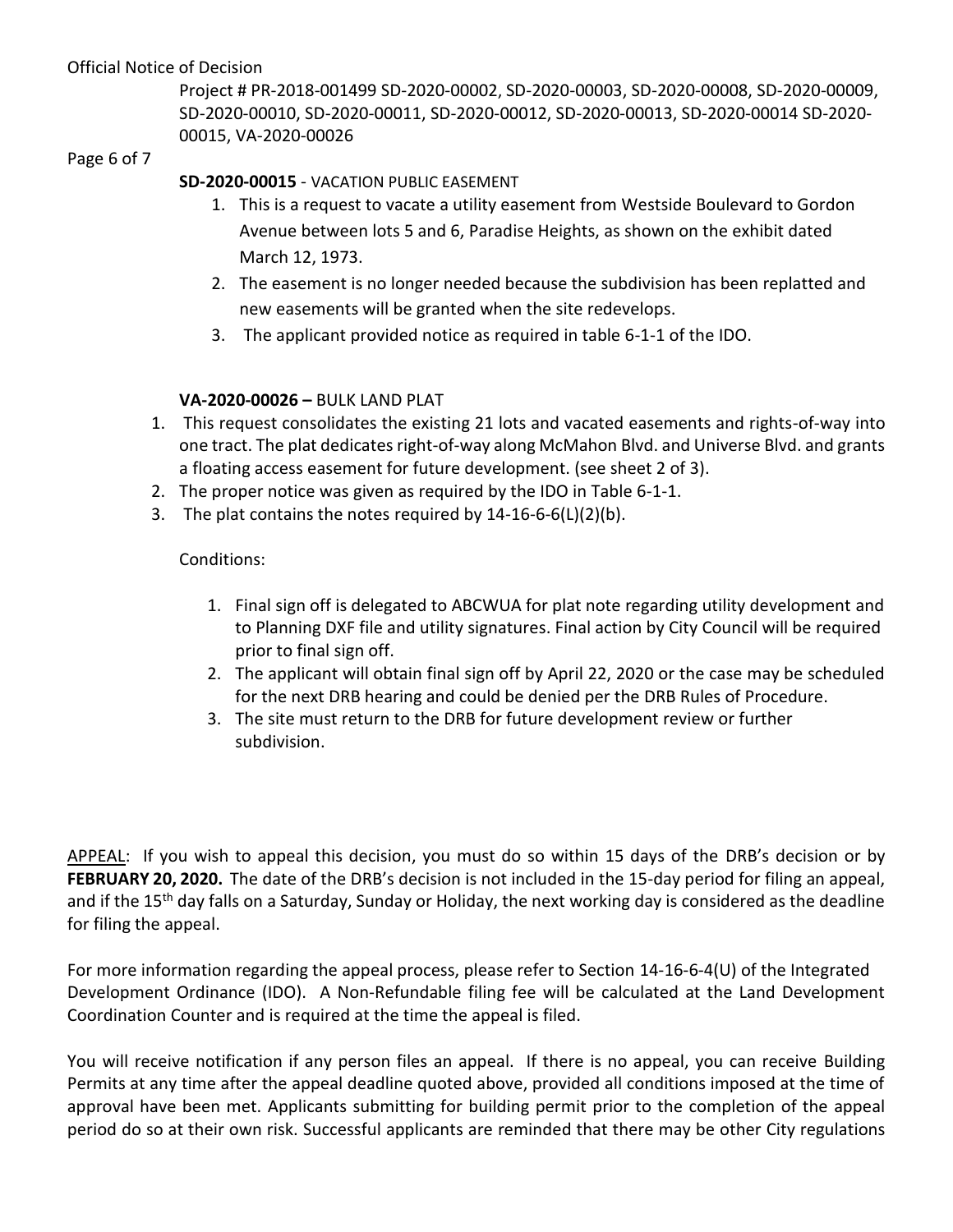Project # PR-2018-001499 SD-2020-00002, SD-2020-00003, SD-2020-00008, SD-2020-00009, SD-2020-00010, SD-2020-00011, SD-2020-00012, SD-2020-00013, SD-2020-00014 SD-2020- 00015, VA-2020-00026

#### Page 6 of 7

# **SD-2020-00015** - VACATION PUBLIC EASEMENT

- 1. This is a request to vacate a utility easement from Westside Boulevard to Gordon Avenue between lots 5 and 6, Paradise Heights, as shown on the exhibit dated March 12, 1973.
- 2. The easement is no longer needed because the subdivision has been replatted and new easements will be granted when the site redevelops.
- 3. The applicant provided notice as required in table 6-1-1 of the IDO.

# **VA-2020-00026 –** BULK LAND PLAT

- 1. This request consolidates the existing 21 lots and vacated easements and rights-of-way into one tract. The plat dedicates right-of-way along McMahon Blvd. and Universe Blvd. and grants a floating access easement for future development. (see sheet 2 of 3).
- 2. The proper notice was given as required by the IDO in Table 6-1-1.
- 3. The plat contains the notes required by 14-16-6-6(L)(2)(b).

# Conditions:

- 1. Final sign off is delegated to ABCWUA for plat note regarding utility development and to Planning DXF file and utility signatures. Final action by City Council will be required prior to final sign off.
- 2. The applicant will obtain final sign off by April 22, 2020 or the case may be scheduled for the next DRB hearing and could be denied per the DRB Rules of Procedure.
- 3. The site must return to the DRB for future development review or further subdivision.

APPEAL: If you wish to appeal this decision, you must do so within 15 days of the DRB's decision or by **FEBRUARY 20, 2020.** The date of the DRB's decision is not included in the 15-day period for filing an appeal, and if the 15<sup>th</sup> day falls on a Saturday, Sunday or Holiday, the next working day is considered as the deadline for filing the appeal.

For more information regarding the appeal process, please refer to Section 14-16-6-4(U) of the Integrated Development Ordinance (IDO). A Non-Refundable filing fee will be calculated at the Land Development Coordination Counter and is required at the time the appeal is filed.

You will receive notification if any person files an appeal. If there is no appeal, you can receive Building Permits at any time after the appeal deadline quoted above, provided all conditions imposed at the time of approval have been met. Applicants submitting for building permit prior to the completion of the appeal period do so at their own risk. Successful applicants are reminded that there may be other City regulations